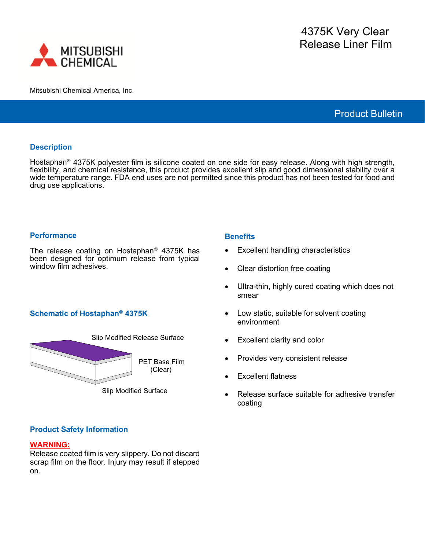

Mitsubishi Chemical America, Inc.

Product Bulletin

### **Description**

Hostaphan<sup>®</sup> 4375K polyester film is silicone coated on one side for easy release. Along with high strength, flexibility, and chemical resistance, this product provides excellent slip and good dimensional stability over a wide temperature range. FDA end uses are not permitted since this product has not been tested for food and drug use applications.

### **Performance**

The release coating on Hostaphan<sup>®</sup> 4375K has been designed for optimum release from typical window film adhesives.

# **Schematic of Hostaphan<sup>®</sup> 4375K**



Slip Modified Surface

# **Product Safety Information**

#### **WARNING:**

Release coated film is very slippery. Do not discard scrap film on the floor. Injury may result if stepped on.

### **Benefits**

- Excellent handling characteristics
- Clear distortion free coating
- Ultra-thin, highly cured coating which does not smear
- Low static, suitable for solvent coating environment
- Excellent clarity and color
- Provides very consistent release
- Excellent flatness
- Release surface suitable for adhesive transfer coating